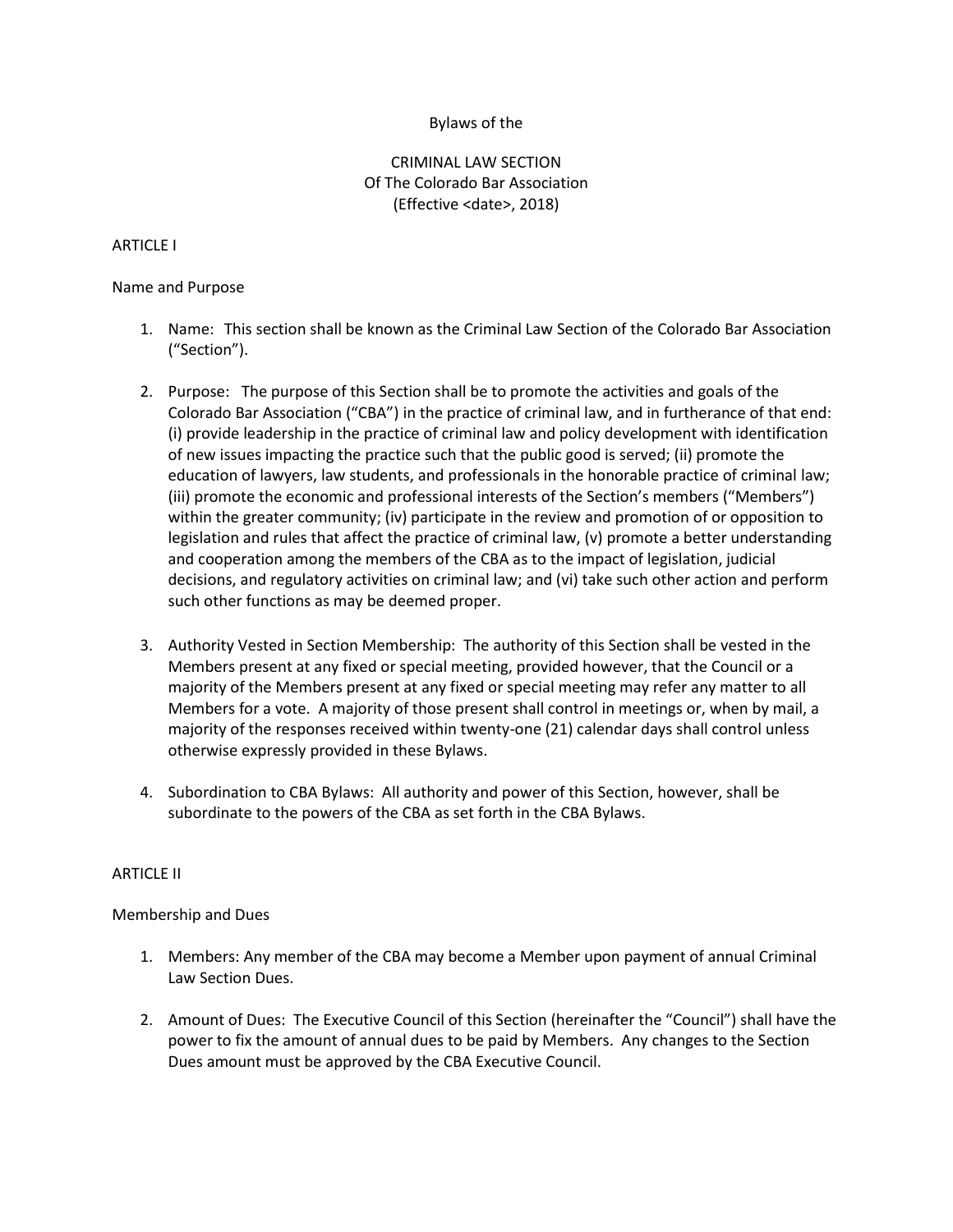## Bylaws of the

# CRIMINAL LAW SECTION Of The Colorado Bar Association (Effective <date>, 2018)

#### ARTICLE I

### Name and Purpose

- 1. Name: This section shall be known as the Criminal Law Section of the Colorado Bar Association ("Section").
- 2. Purpose: The purpose of this Section shall be to promote the activities and goals of the Colorado Bar Association ("CBA") in the practice of criminal law, and in furtherance of that end: (i) provide leadership in the practice of criminal law and policy development with identification of new issues impacting the practice such that the public good is served; (ii) promote the education of lawyers, law students, and professionals in the honorable practice of criminal law; (iii) promote the economic and professional interests of the Section's members ("Members") within the greater community; (iv) participate in the review and promotion of or opposition to legislation and rules that affect the practice of criminal law, (v) promote a better understanding and cooperation among the members of the CBA as to the impact of legislation, judicial decisions, and regulatory activities on criminal law; and (vi) take such other action and perform such other functions as may be deemed proper.
- 3. Authority Vested in Section Membership: The authority of this Section shall be vested in the Members present at any fixed or special meeting, provided however, that the Council or a majority of the Members present at any fixed or special meeting may refer any matter to all Members for a vote. A majority of those present shall control in meetings or, when by mail, a majority of the responses received within twenty-one (21) calendar days shall control unless otherwise expressly provided in these Bylaws.
- 4. Subordination to CBA Bylaws: All authority and power of this Section, however, shall be subordinate to the powers of the CBA as set forth in the CBA Bylaws.

#### ARTICLE II

#### Membership and Dues

- 1. Members: Any member of the CBA may become a Member upon payment of annual Criminal Law Section Dues.
- 2. Amount of Dues: The Executive Council of this Section (hereinafter the "Council") shall have the power to fix the amount of annual dues to be paid by Members. Any changes to the Section Dues amount must be approved by the CBA Executive Council.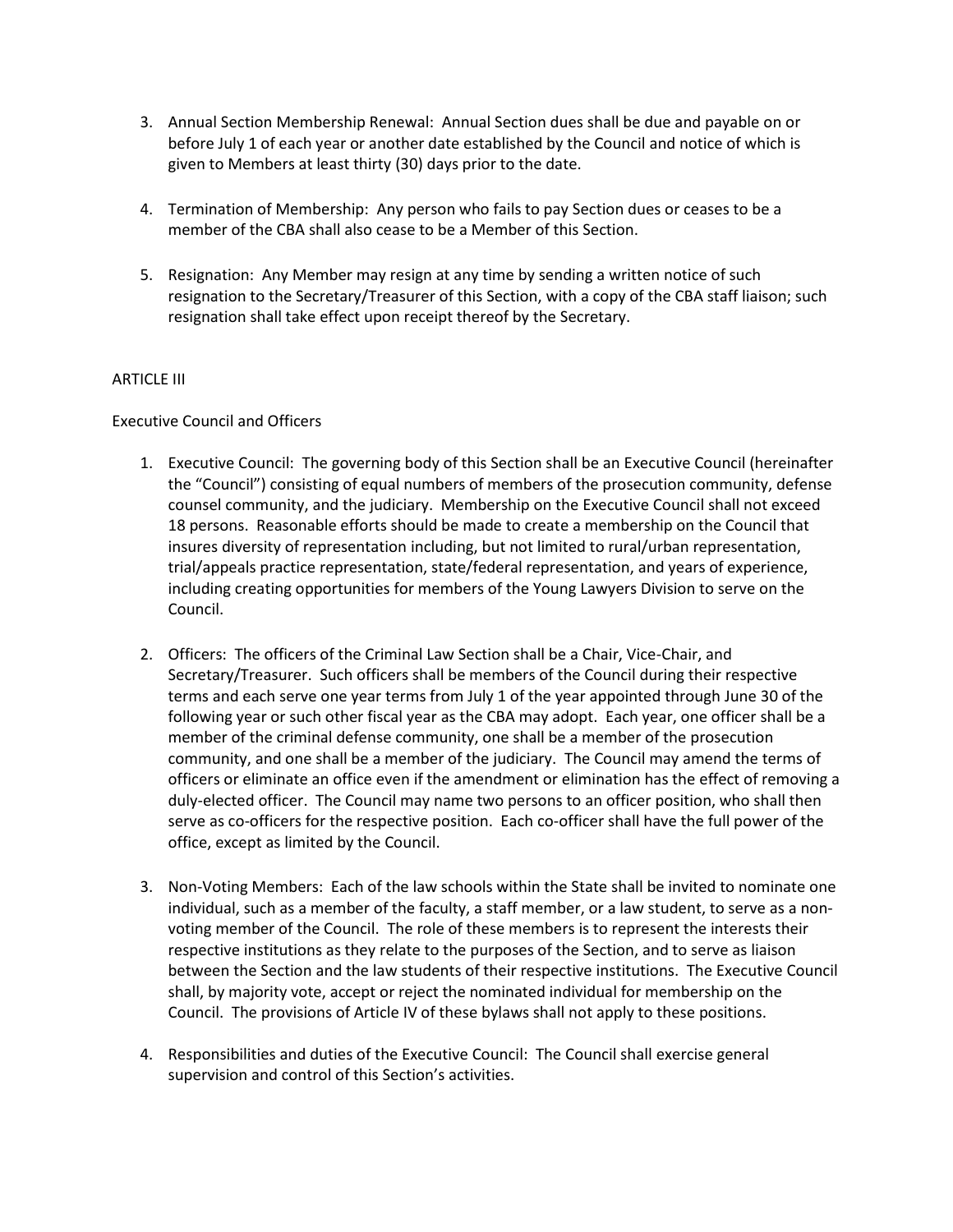- 3. Annual Section Membership Renewal: Annual Section dues shall be due and payable on or before July 1 of each year or another date established by the Council and notice of which is given to Members at least thirty (30) days prior to the date.
- 4. Termination of Membership: Any person who fails to pay Section dues or ceases to be a member of the CBA shall also cease to be a Member of this Section.
- 5. Resignation: Any Member may resign at any time by sending a written notice of such resignation to the Secretary/Treasurer of this Section, with a copy of the CBA staff liaison; such resignation shall take effect upon receipt thereof by the Secretary.

# ARTICLE III

## Executive Council and Officers

- 1. Executive Council: The governing body of this Section shall be an Executive Council (hereinafter the "Council") consisting of equal numbers of members of the prosecution community, defense counsel community, and the judiciary. Membership on the Executive Council shall not exceed 18 persons. Reasonable efforts should be made to create a membership on the Council that insures diversity of representation including, but not limited to rural/urban representation, trial/appeals practice representation, state/federal representation, and years of experience, including creating opportunities for members of the Young Lawyers Division to serve on the Council.
- 2. Officers: The officers of the Criminal Law Section shall be a Chair, Vice-Chair, and Secretary/Treasurer. Such officers shall be members of the Council during their respective terms and each serve one year terms from July 1 of the year appointed through June 30 of the following year or such other fiscal year as the CBA may adopt. Each year, one officer shall be a member of the criminal defense community, one shall be a member of the prosecution community, and one shall be a member of the judiciary. The Council may amend the terms of officers or eliminate an office even if the amendment or elimination has the effect of removing a duly-elected officer. The Council may name two persons to an officer position, who shall then serve as co-officers for the respective position. Each co-officer shall have the full power of the office, except as limited by the Council.
- 3. Non-Voting Members: Each of the law schools within the State shall be invited to nominate one individual, such as a member of the faculty, a staff member, or a law student, to serve as a nonvoting member of the Council. The role of these members is to represent the interests their respective institutions as they relate to the purposes of the Section, and to serve as liaison between the Section and the law students of their respective institutions. The Executive Council shall, by majority vote, accept or reject the nominated individual for membership on the Council. The provisions of Article IV of these bylaws shall not apply to these positions.
- 4. Responsibilities and duties of the Executive Council: The Council shall exercise general supervision and control of this Section's activities.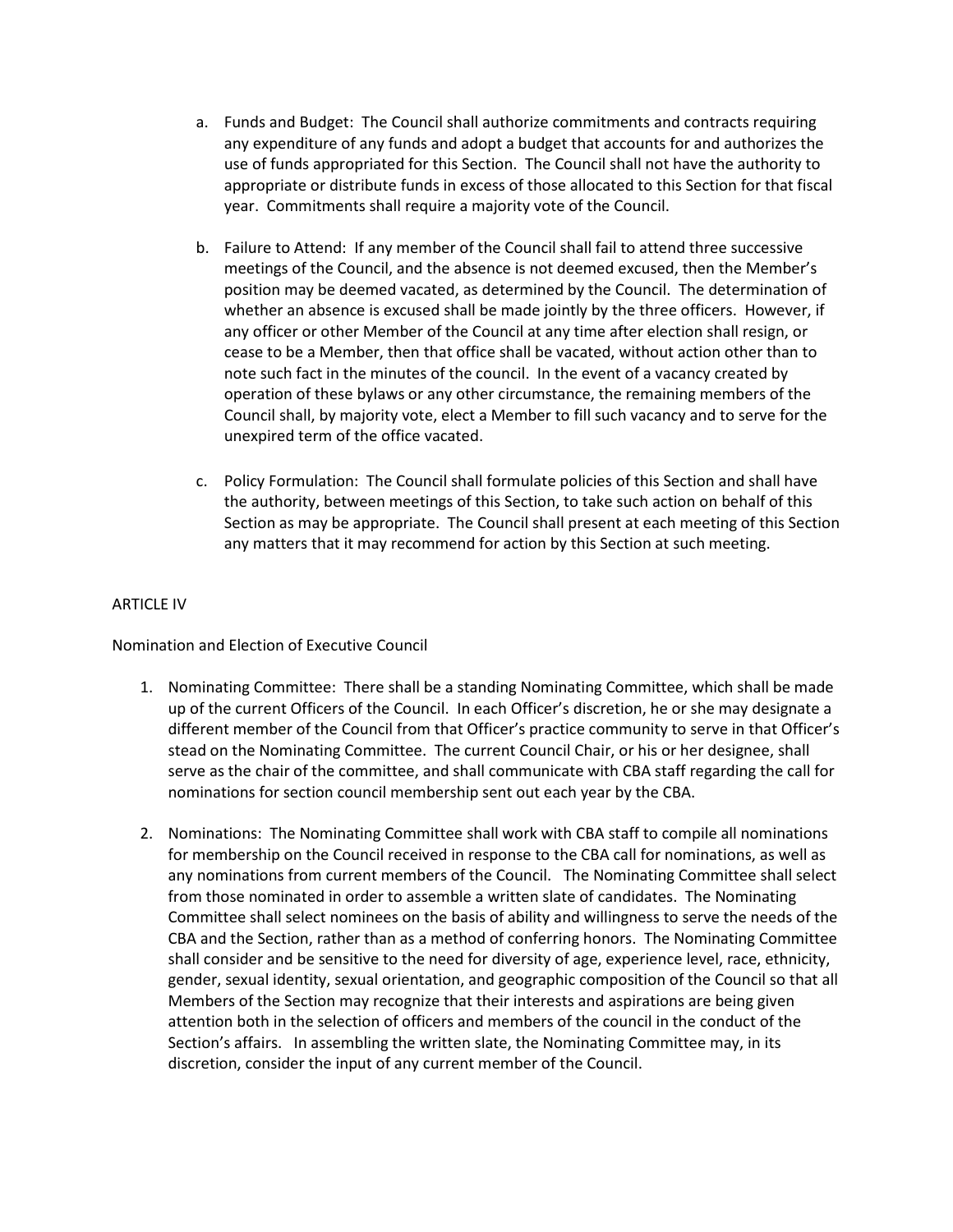- a. Funds and Budget: The Council shall authorize commitments and contracts requiring any expenditure of any funds and adopt a budget that accounts for and authorizes the use of funds appropriated for this Section. The Council shall not have the authority to appropriate or distribute funds in excess of those allocated to this Section for that fiscal year. Commitments shall require a majority vote of the Council.
- b. Failure to Attend: If any member of the Council shall fail to attend three successive meetings of the Council, and the absence is not deemed excused, then the Member's position may be deemed vacated, as determined by the Council. The determination of whether an absence is excused shall be made jointly by the three officers. However, if any officer or other Member of the Council at any time after election shall resign, or cease to be a Member, then that office shall be vacated, without action other than to note such fact in the minutes of the council. In the event of a vacancy created by operation of these bylaws or any other circumstance, the remaining members of the Council shall, by majority vote, elect a Member to fill such vacancy and to serve for the unexpired term of the office vacated.
- c. Policy Formulation: The Council shall formulate policies of this Section and shall have the authority, between meetings of this Section, to take such action on behalf of this Section as may be appropriate. The Council shall present at each meeting of this Section any matters that it may recommend for action by this Section at such meeting.

## ARTICLE IV

Nomination and Election of Executive Council

- 1. Nominating Committee: There shall be a standing Nominating Committee, which shall be made up of the current Officers of the Council. In each Officer's discretion, he or she may designate a different member of the Council from that Officer's practice community to serve in that Officer's stead on the Nominating Committee. The current Council Chair, or his or her designee, shall serve as the chair of the committee, and shall communicate with CBA staff regarding the call for nominations for section council membership sent out each year by the CBA.
- 2. Nominations: The Nominating Committee shall work with CBA staff to compile all nominations for membership on the Council received in response to the CBA call for nominations, as well as any nominations from current members of the Council. The Nominating Committee shall select from those nominated in order to assemble a written slate of candidates. The Nominating Committee shall select nominees on the basis of ability and willingness to serve the needs of the CBA and the Section, rather than as a method of conferring honors. The Nominating Committee shall consider and be sensitive to the need for diversity of age, experience level, race, ethnicity, gender, sexual identity, sexual orientation, and geographic composition of the Council so that all Members of the Section may recognize that their interests and aspirations are being given attention both in the selection of officers and members of the council in the conduct of the Section's affairs. In assembling the written slate, the Nominating Committee may, in its discretion, consider the input of any current member of the Council.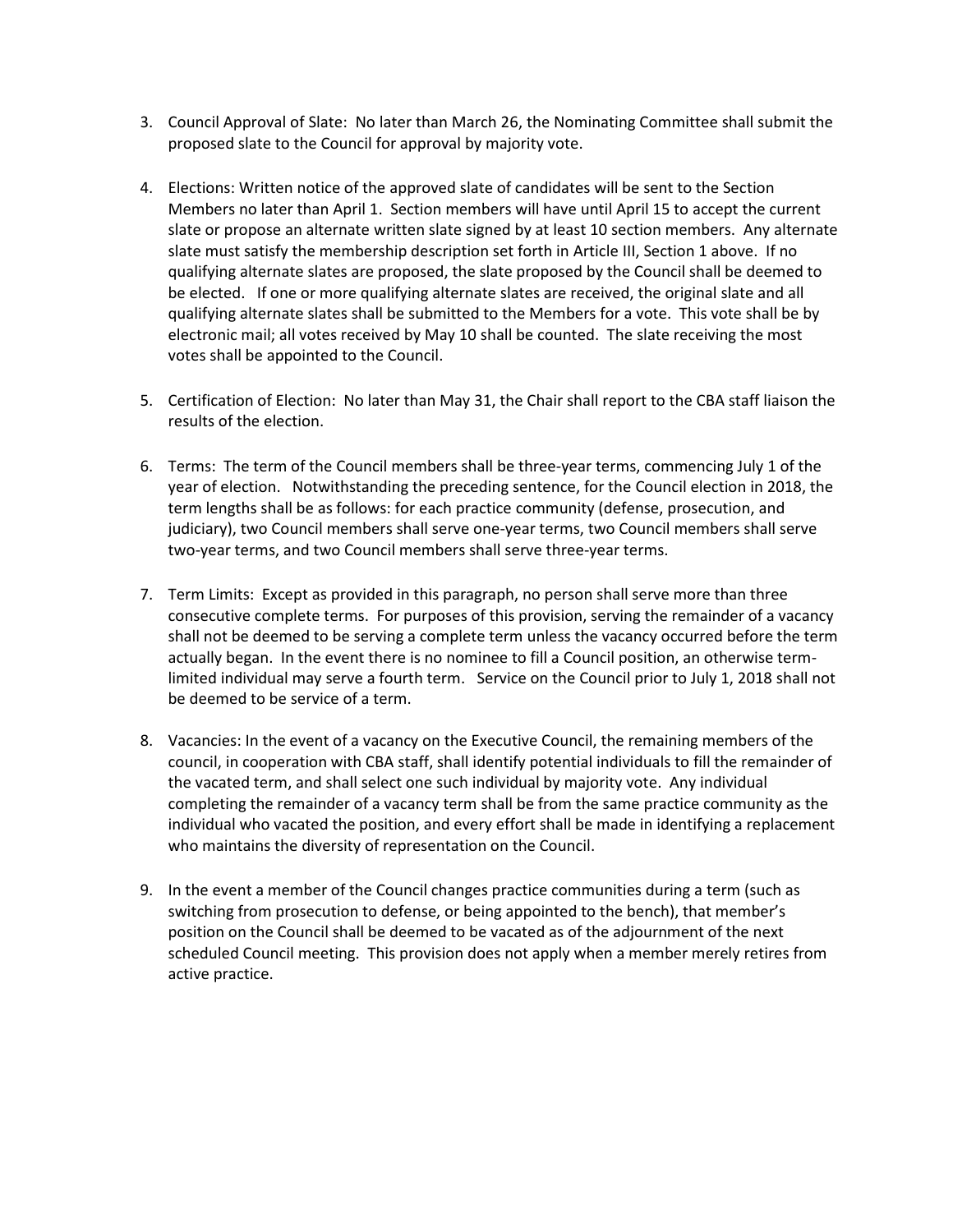- 3. Council Approval of Slate: No later than March 26, the Nominating Committee shall submit the proposed slate to the Council for approval by majority vote.
- 4. Elections: Written notice of the approved slate of candidates will be sent to the Section Members no later than April 1. Section members will have until April 15 to accept the current slate or propose an alternate written slate signed by at least 10 section members. Any alternate slate must satisfy the membership description set forth in Article III, Section 1 above. If no qualifying alternate slates are proposed, the slate proposed by the Council shall be deemed to be elected. If one or more qualifying alternate slates are received, the original slate and all qualifying alternate slates shall be submitted to the Members for a vote. This vote shall be by electronic mail; all votes received by May 10 shall be counted. The slate receiving the most votes shall be appointed to the Council.
- 5. Certification of Election: No later than May 31, the Chair shall report to the CBA staff liaison the results of the election.
- 6. Terms: The term of the Council members shall be three-year terms, commencing July 1 of the year of election. Notwithstanding the preceding sentence, for the Council election in 2018, the term lengths shall be as follows: for each practice community (defense, prosecution, and judiciary), two Council members shall serve one-year terms, two Council members shall serve two-year terms, and two Council members shall serve three-year terms.
- 7. Term Limits: Except as provided in this paragraph, no person shall serve more than three consecutive complete terms. For purposes of this provision, serving the remainder of a vacancy shall not be deemed to be serving a complete term unless the vacancy occurred before the term actually began. In the event there is no nominee to fill a Council position, an otherwise termlimited individual may serve a fourth term. Service on the Council prior to July 1, 2018 shall not be deemed to be service of a term.
- 8. Vacancies: In the event of a vacancy on the Executive Council, the remaining members of the council, in cooperation with CBA staff, shall identify potential individuals to fill the remainder of the vacated term, and shall select one such individual by majority vote. Any individual completing the remainder of a vacancy term shall be from the same practice community as the individual who vacated the position, and every effort shall be made in identifying a replacement who maintains the diversity of representation on the Council.
- 9. In the event a member of the Council changes practice communities during a term (such as switching from prosecution to defense, or being appointed to the bench), that member's position on the Council shall be deemed to be vacated as of the adjournment of the next scheduled Council meeting. This provision does not apply when a member merely retires from active practice.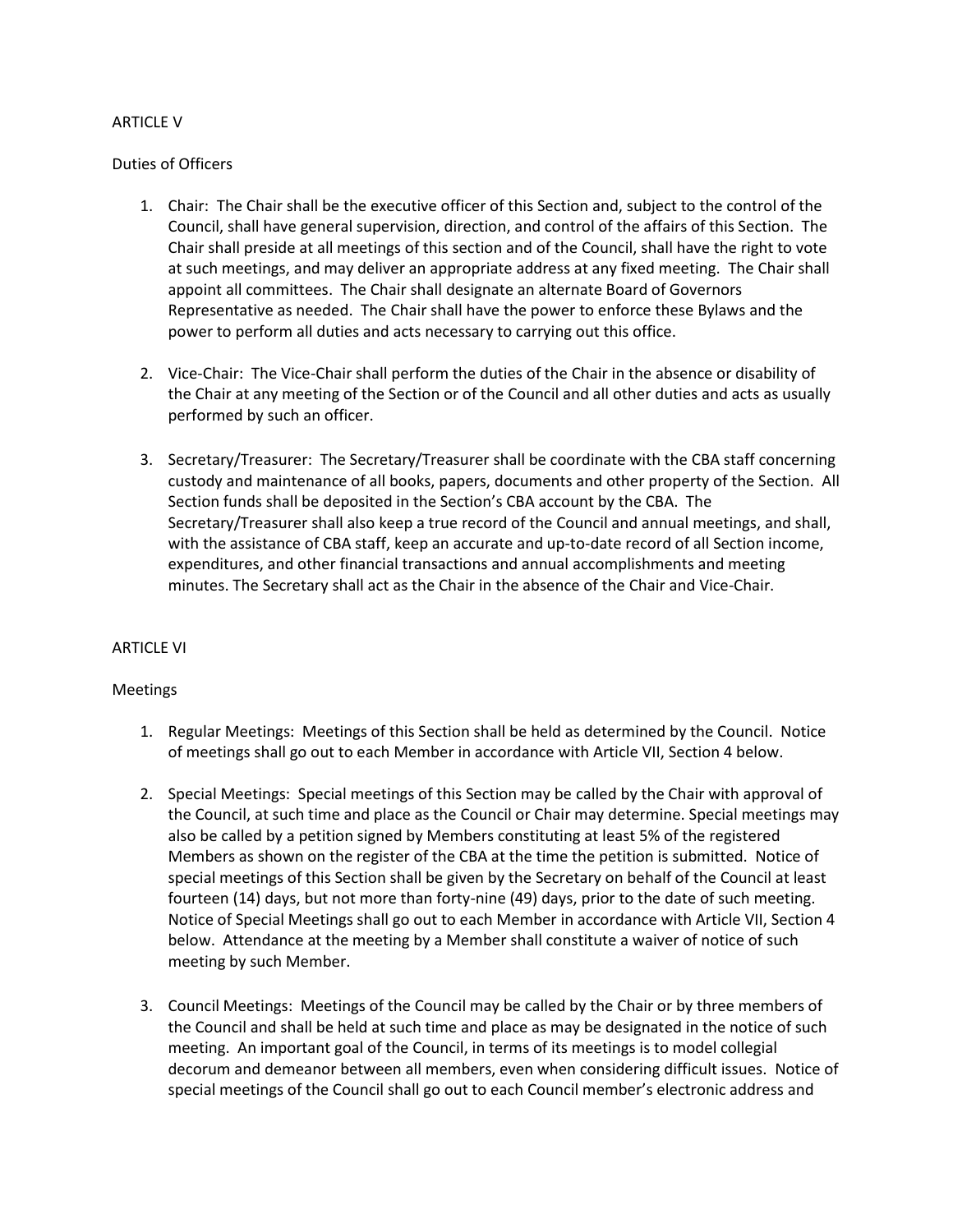## ARTICLE V

### Duties of Officers

- 1. Chair: The Chair shall be the executive officer of this Section and, subject to the control of the Council, shall have general supervision, direction, and control of the affairs of this Section. The Chair shall preside at all meetings of this section and of the Council, shall have the right to vote at such meetings, and may deliver an appropriate address at any fixed meeting. The Chair shall appoint all committees. The Chair shall designate an alternate Board of Governors Representative as needed. The Chair shall have the power to enforce these Bylaws and the power to perform all duties and acts necessary to carrying out this office.
- 2. Vice-Chair: The Vice-Chair shall perform the duties of the Chair in the absence or disability of the Chair at any meeting of the Section or of the Council and all other duties and acts as usually performed by such an officer.
- 3. Secretary/Treasurer: The Secretary/Treasurer shall be coordinate with the CBA staff concerning custody and maintenance of all books, papers, documents and other property of the Section. All Section funds shall be deposited in the Section's CBA account by the CBA. The Secretary/Treasurer shall also keep a true record of the Council and annual meetings, and shall, with the assistance of CBA staff, keep an accurate and up-to-date record of all Section income, expenditures, and other financial transactions and annual accomplishments and meeting minutes. The Secretary shall act as the Chair in the absence of the Chair and Vice-Chair.

## ARTICLE VI

#### Meetings

- 1. Regular Meetings: Meetings of this Section shall be held as determined by the Council. Notice of meetings shall go out to each Member in accordance with Article VII, Section 4 below.
- 2. Special Meetings: Special meetings of this Section may be called by the Chair with approval of the Council, at such time and place as the Council or Chair may determine. Special meetings may also be called by a petition signed by Members constituting at least 5% of the registered Members as shown on the register of the CBA at the time the petition is submitted. Notice of special meetings of this Section shall be given by the Secretary on behalf of the Council at least fourteen (14) days, but not more than forty-nine (49) days, prior to the date of such meeting. Notice of Special Meetings shall go out to each Member in accordance with Article VII, Section 4 below. Attendance at the meeting by a Member shall constitute a waiver of notice of such meeting by such Member.
- 3. Council Meetings: Meetings of the Council may be called by the Chair or by three members of the Council and shall be held at such time and place as may be designated in the notice of such meeting. An important goal of the Council, in terms of its meetings is to model collegial decorum and demeanor between all members, even when considering difficult issues. Notice of special meetings of the Council shall go out to each Council member's electronic address and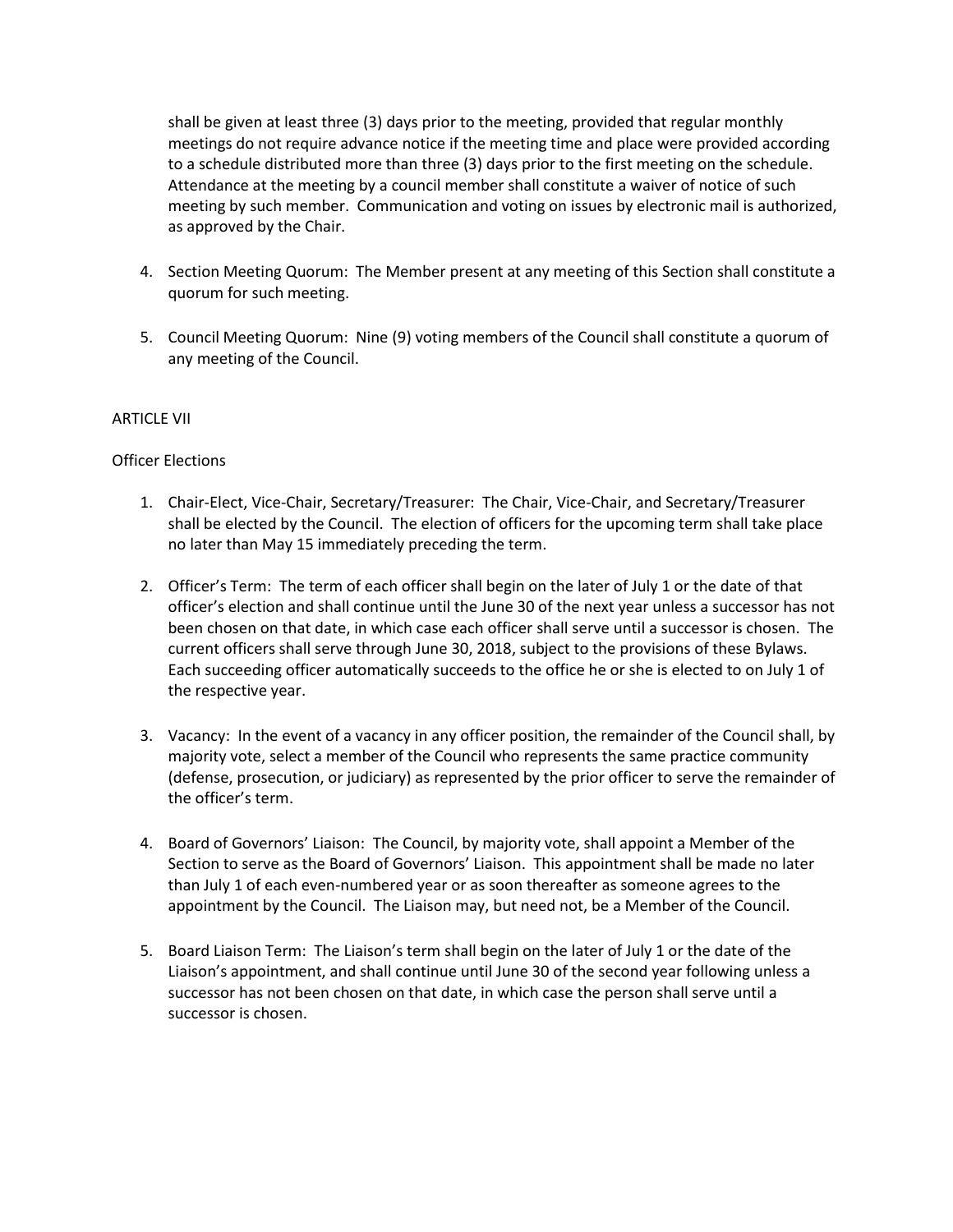shall be given at least three (3) days prior to the meeting, provided that regular monthly meetings do not require advance notice if the meeting time and place were provided according to a schedule distributed more than three (3) days prior to the first meeting on the schedule. Attendance at the meeting by a council member shall constitute a waiver of notice of such meeting by such member. Communication and voting on issues by electronic mail is authorized, as approved by the Chair.

- 4. Section Meeting Quorum: The Member present at any meeting of this Section shall constitute a quorum for such meeting.
- 5. Council Meeting Quorum: Nine (9) voting members of the Council shall constitute a quorum of any meeting of the Council.

## ARTICLE VII

# Officer Elections

- 1. Chair-Elect, Vice-Chair, Secretary/Treasurer: The Chair, Vice-Chair, and Secretary/Treasurer shall be elected by the Council. The election of officers for the upcoming term shall take place no later than May 15 immediately preceding the term.
- 2. Officer's Term: The term of each officer shall begin on the later of July 1 or the date of that officer's election and shall continue until the June 30 of the next year unless a successor has not been chosen on that date, in which case each officer shall serve until a successor is chosen. The current officers shall serve through June 30, 2018, subject to the provisions of these Bylaws. Each succeeding officer automatically succeeds to the office he or she is elected to on July 1 of the respective year.
- 3. Vacancy: In the event of a vacancy in any officer position, the remainder of the Council shall, by majority vote, select a member of the Council who represents the same practice community (defense, prosecution, or judiciary) as represented by the prior officer to serve the remainder of the officer's term.
- 4. Board of Governors' Liaison: The Council, by majority vote, shall appoint a Member of the Section to serve as the Board of Governors' Liaison. This appointment shall be made no later than July 1 of each even-numbered year or as soon thereafter as someone agrees to the appointment by the Council. The Liaison may, but need not, be a Member of the Council.
- 5. Board Liaison Term: The Liaison's term shall begin on the later of July 1 or the date of the Liaison's appointment, and shall continue until June 30 of the second year following unless a successor has not been chosen on that date, in which case the person shall serve until a successor is chosen.